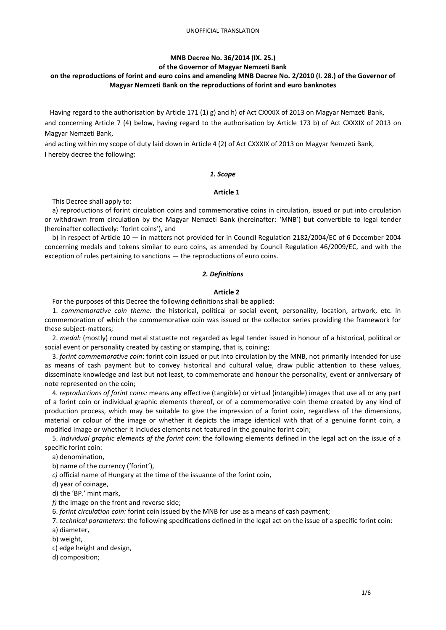# **MNB Decree No. 36/2014 (IX. 25.)**

### **of the Governor of Magyar Nemzeti Bank**

# **on the reproductions of forint and euro coins and amending MNB Decree No. 2/2010 (I. 28.) of the Governor of Magyar Nemzeti Bank on the reproductions of forint and euro banknotes**

Having regard to the authorisation by Article 171 (1) g) and h) of Act CXXXIX of 2013 on Magyar Nemzeti Bank, and concerning Article 7 (4) below, having regard to the authorisation by Article 173 b) of Act CXXXIX of 2013 on Magyar Nemzeti Bank,

and acting within my scope of duty laid down in Article 4 (2) of Act CXXXIX of 2013 on Magyar Nemzeti Bank, I hereby decree the following:

### *1. Scope*

## **Article 1**

This Decree shall apply to:

a) reproductions of forint circulation coins and commemorative coins in circulation, issued or put into circulation or withdrawn from circulation by the Magyar Nemzeti Bank (hereinafter: 'MNB') but convertible to legal tender (hereinafter collectively: 'forint coins'), and

b) in respect of Article 10 — in matters not provided for in Council Regulation 2182/2004/EC of 6 December 2004 concerning medals and tokens similar to euro coins, as amended by Council Regulation 46/2009/EC, and with the exception of rules pertaining to sanctions — the reproductions of euro coins.

### *2. Definitions*

## **Article 2**

For the purposes of this Decree the following definitions shall be applied:

1. *commemorative coin theme:* the historical, political or social event, personality, location, artwork, etc. in commemoration of which the commemorative coin was issued or the collector series providing the framework for these subject-matters;

2. *medal:* (mostly) round metal statuette not regarded as legal tender issued in honour of a historical, political or social event or personality created by casting or stamping, that is, coining;

3. *forint commemorative coin*: forint coin issued or put into circulation by the MNB, not primarily intended for use as means of cash payment but to convey historical and cultural value, draw public attention to these values, disseminate knowledge and last but not least, to commemorate and honour the personality, event or anniversary of note represented on the coin;

4. *reproductions of forint coins:* means any effective (tangible) or virtual (intangible) images that use all or any part of a forint coin or individual graphic elements thereof, or of a commemorative coin theme created by any kind of production process, which may be suitable to give the impression of a forint coin, regardless of the dimensions, material or colour of the image or whether it depicts the image identical with that of a genuine forint coin, a modified image or whether it includes elements not featured in the genuine forint coin;

5. *individual graphic elements of the forint coin:* the following elements defined in the legal act on the issue of a specific forint coin:

a) denomination,

b) name of the currency ('forint'),

*c)* official name of Hungary at the time of the issuance of the forint coin,

d) year of coinage,

d) the 'BP.' mint mark,

*f)* the image on the front and reverse side;

6. *forint circulation coin:* forint coin issued by the MNB for use as a means of cash payment;

7. *technical parameters*: the following specifications defined in the legal act on the issue of a specific forint coin:

a) diameter,

b) weight,

c) edge height and design,

d) composition;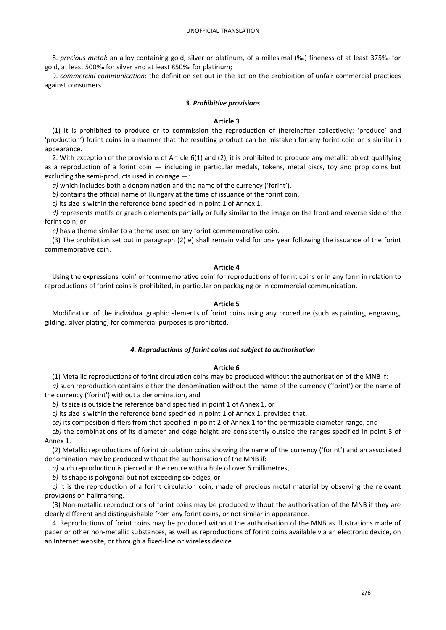### UNOFFICIAL TRANSLATION

8. *precious metal*: an alloy containing gold, silver or platinum, of a millesimal (‰) fineness of at least 375‰ for gold, at least 500‰ for silver and at least 850‰ for platinum;

9. *commercial communication*: the definition set out in the act on the prohibition of unfair commercial practices against consumers.

#### *3. Prohibitive provisions*

#### **Article 3**

(1) It is prohibited to produce or to commission the reproduction of (hereinafter collectively: 'produce' and 'production') forint coins in a manner that the resulting product can be mistaken for any forint coin or is similar in appearance.

2. With exception of the provisions of Article 6(1) and (2), it is prohibited to produce any metallic object qualifying as a reproduction of a forint coin — including in particular medals, tokens, metal discs, toy and prop coins but excluding the semi-products used in coinage —:

*a)* which includes both a denomination and the name of the currency ('forint'),

*b)* contains the official name of Hungary at the time of issuance of the forint coin,

*c)* its size is within the reference band specified in point 1 of Annex 1,

*d)* represents motifs or graphic elements partially or fully similar to the image on the front and reverse side of the forint coin; or

*e)* has a theme similar to a theme used on any forint commemorative coin.

(3) The prohibition set out in paragraph (2) e) shall remain valid for one year following the issuance of the forint commemorative coin.

#### **Article 4**

Using the expressions 'coin' or 'commemorative coin' for reproductions of forint coins or in any form in relation to reproductions of forint coins is prohibited, in particular on packaging or in commercial communication.

#### **Article 5**

Modification of the individual graphic elements of forint coins using any procedure (such as painting, engraving, gilding, silver plating) for commercial purposes is prohibited.

#### *4. Reproductions of forint coins not subject to authorisation*

### **Article 6**

(1) Metallic reproductions of forint circulation coins may be produced without the authorisation of the MNB if: *a)* such reproduction contains either the denomination without the name of the currency ('forint') or the name of the currency ('forint') without a denomination, and

*b)* its size is outside the reference band specified in point 1 of Annex 1, or

*c)* its size is within the reference band specified in point 1 of Annex 1, provided that,

*ca)* its composition differs from that specified in point 2 of Annex 1 for the permissible diameter range, and

*cb)* the combinations of its diameter and edge height are consistently outside the ranges specified in point 3 of Annex 1.

(2) Metallic reproductions of forint circulation coins showing the name of the currency ('forint') and an associated denomination may be produced without the authorisation of the MNB if:

*a)* such reproduction is pierced in the centre with a hole of over 6 millimetres,

*b)* its shape is polygonal but not exceeding six edges, or

*c)* it is the reproduction of a forint circulation coin, made of precious metal material by observing the relevant provisions on hallmarking.

(3) Non-metallic reproductions of forint coins may be produced without the authorisation of the MNB if they are clearly different and distinguishable from any forint coins, or not similar in appearance.

4. Reproductions of forint coins may be produced without the authorisation of the MNB as illustrations made of paper or other non-metallic substances, as well as reproductions of forint coins available via an electronic device, on an Internet website, or through a fixed-line or wireless device.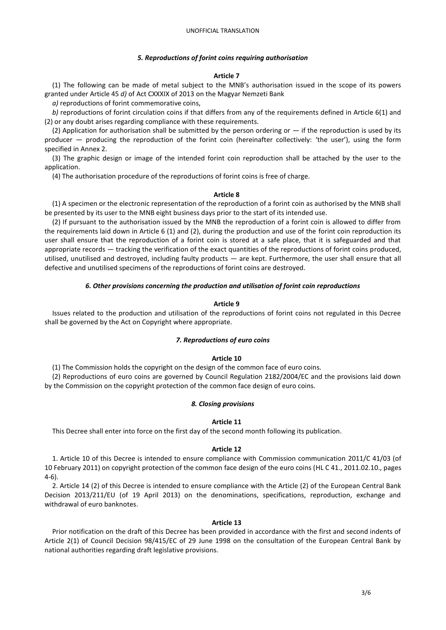### *5. Reproductions of forint coins requiring authorisation*

#### **Article 7**

(1) The following can be made of metal subject to the MNB's authorisation issued in the scope of its powers granted under Article 45 *d)* of Act CXXXIX of 2013 on the Magyar Nemzeti Bank

*a)* reproductions of forint commemorative coins,

*b)* reproductions of forint circulation coins if that differs from any of the requirements defined in Article 6(1) and (2) or any doubt arises regarding compliance with these requirements.

(2) Application for authorisation shall be submitted by the person ordering or  $-$  if the reproduction is used by its producer — producing the reproduction of the forint coin (hereinafter collectively: 'the user'), using the form specified in Annex 2.

(3) The graphic design or image of the intended forint coin reproduction shall be attached by the user to the application.

(4) The authorisation procedure of the reproductions of forint coins is free of charge.

#### **Article 8**

(1) A specimen or the electronic representation of the reproduction of a forint coin as authorised by the MNB shall be presented by its user to the MNB eight business days prior to the start of its intended use.

(2) If pursuant to the authorisation issued by the MNB the reproduction of a forint coin is allowed to differ from the requirements laid down in Article 6 (1) and (2), during the production and use of the forint coin reproduction its user shall ensure that the reproduction of a forint coin is stored at a safe place, that it is safeguarded and that appropriate records — tracking the verification of the exact quantities of the reproductions of forint coins produced, utilised, unutilised and destroyed, including faulty products — are kept. Furthermore, the user shall ensure that all defective and unutilised specimens of the reproductions of forint coins are destroyed.

### *6. Other provisions concerning the production and utilisation of forint coin reproductions*

### **Article 9**

Issues related to the production and utilisation of the reproductions of forint coins not regulated in this Decree shall be governed by the Act on Copyright where appropriate.

## *7. Reproductions of euro coins*

### **Article 10**

(1) The Commission holds the copyright on the design of the common face of euro coins.

(2) Reproductions of euro coins are governed by Council Regulation 2182/2004/EC and the provisions laid down by the Commission on the copyright protection of the common face design of euro coins.

#### *8. Closing provisions*

### **Article 11**

This Decree shall enter into force on the first day of the second month following its publication.

#### **Article 12**

1. Article 10 of this Decree is intended to ensure compliance with Commission communication 2011/C 41/03 (of 10 February 2011) on copyright protection of the common face design of the euro coins (HL C 41., 2011.02.10., pages 4-6).

2. Article 14 (2) of this Decree is intended to ensure compliance with the Article (2) of the European Central Bank Decision 2013/211/EU (of 19 April 2013) on the denominations, specifications, reproduction, exchange and withdrawal of euro banknotes.

#### **Article 13**

Prior notification on the draft of this Decree has been provided in accordance with the first and second indents of Article 2(1) of Council Decision 98/415/EC of 29 June 1998 on the consultation of the European Central Bank by national authorities regarding draft legislative provisions.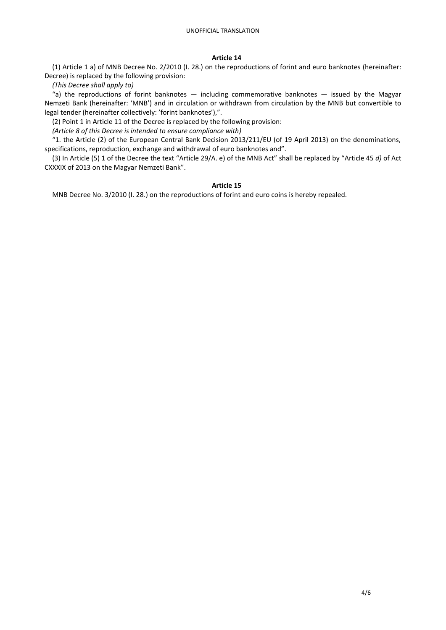## **Article 14**

(1) Article 1 a) of MNB Decree No. 2/2010 (I. 28.) on the reproductions of forint and euro banknotes (hereinafter: Decree) is replaced by the following provision:

*(This Decree shall apply to)*

"a) the reproductions of forint banknotes  $-$  including commemorative banknotes  $-$  issued by the Magyar Nemzeti Bank (hereinafter: 'MNB') and in circulation or withdrawn from circulation by the MNB but convertible to legal tender (hereinafter collectively: 'forint banknotes'),".

(2) Point 1 in Article 11 of the Decree is replaced by the following provision:

*(Article 8 of this Decree is intended to ensure compliance with)*

"1. the Article (2) of the European Central Bank Decision 2013/211/EU (of 19 April 2013) on the denominations, specifications, reproduction, exchange and withdrawal of euro banknotes and".

(3) In Article (5) 1 of the Decree the text "Article 29/A. e) of the MNB Act" shall be replaced by "Article 45 *d)* of Act CXXXIX of 2013 on the Magyar Nemzeti Bank".

# **Article 15**

MNB Decree No. 3/2010 (I. 28.) on the reproductions of forint and euro coins is hereby repealed.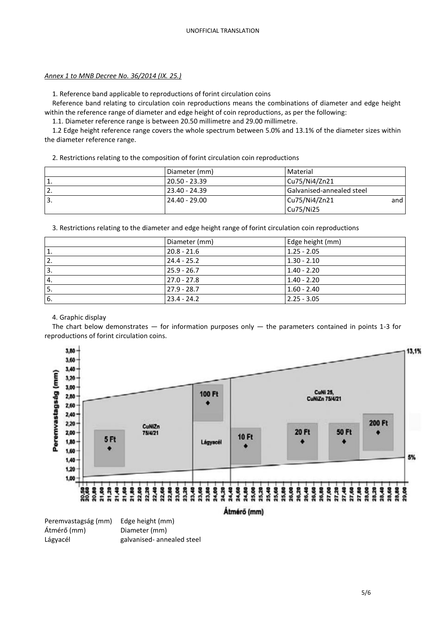## *Annex 1 to MNB Decree No. 36/2014 (IX. 25.)*

1. Reference band applicable to reproductions of forint circulation coins

Reference band relating to circulation coin reproductions means the combinations of diameter and edge height within the reference range of diameter and edge height of coin reproductions, as per the following:

1.1. Diameter reference range is between 20.50 millimetre and 29.00 millimetre.

1.2 Edge height reference range covers the whole spectrum between 5.0% and 13.1% of the diameter sizes within the diameter reference range.

2. Restrictions relating to the composition of forint circulation coin reproductions

|                  | Diameter (mm)   | Material                         |
|------------------|-----------------|----------------------------------|
| $^{\circ}1.$     | ! 20.50 - 23.39 | $\vert$ Cu75/Ni4/Zn21            |
| $\overline{2}$ . | $23.40 - 24.39$ | <b>Galvanised-annealed steel</b> |
| ' 3.             | $24.40 - 29.00$ | Cu75/Ni4/Zn21<br>and             |
|                  |                 | Cu75/Ni25                        |

3. Restrictions relating to the diameter and edge height range of forint circulation coin reproductions

|                 | Diameter (mm) | Edge height (mm) |
|-----------------|---------------|------------------|
| 1.              | $20.8 - 21.6$ | $1.25 - 2.05$    |
| 2.              | $24.4 - 25.2$ | $1.30 - 2.10$    |
| '3.             | $25.9 - 26.7$ | $1.40 - 2.20$    |
| 4.              | $27.0 - 27.8$ | $1.40 - 2.20$    |
| <sup>1</sup> 5. | $27.9 - 28.7$ | $1.60 - 2.40$    |
| 6.              | $23.4 - 24.2$ | $2.25 - 3.05$    |

# 4. Graphic display

The chart below demonstrates  $-$  for information purposes only  $-$  the parameters contained in points 1-3 for reproductions of forint circulation coins.



Lágyacél galvanised- annealed steel